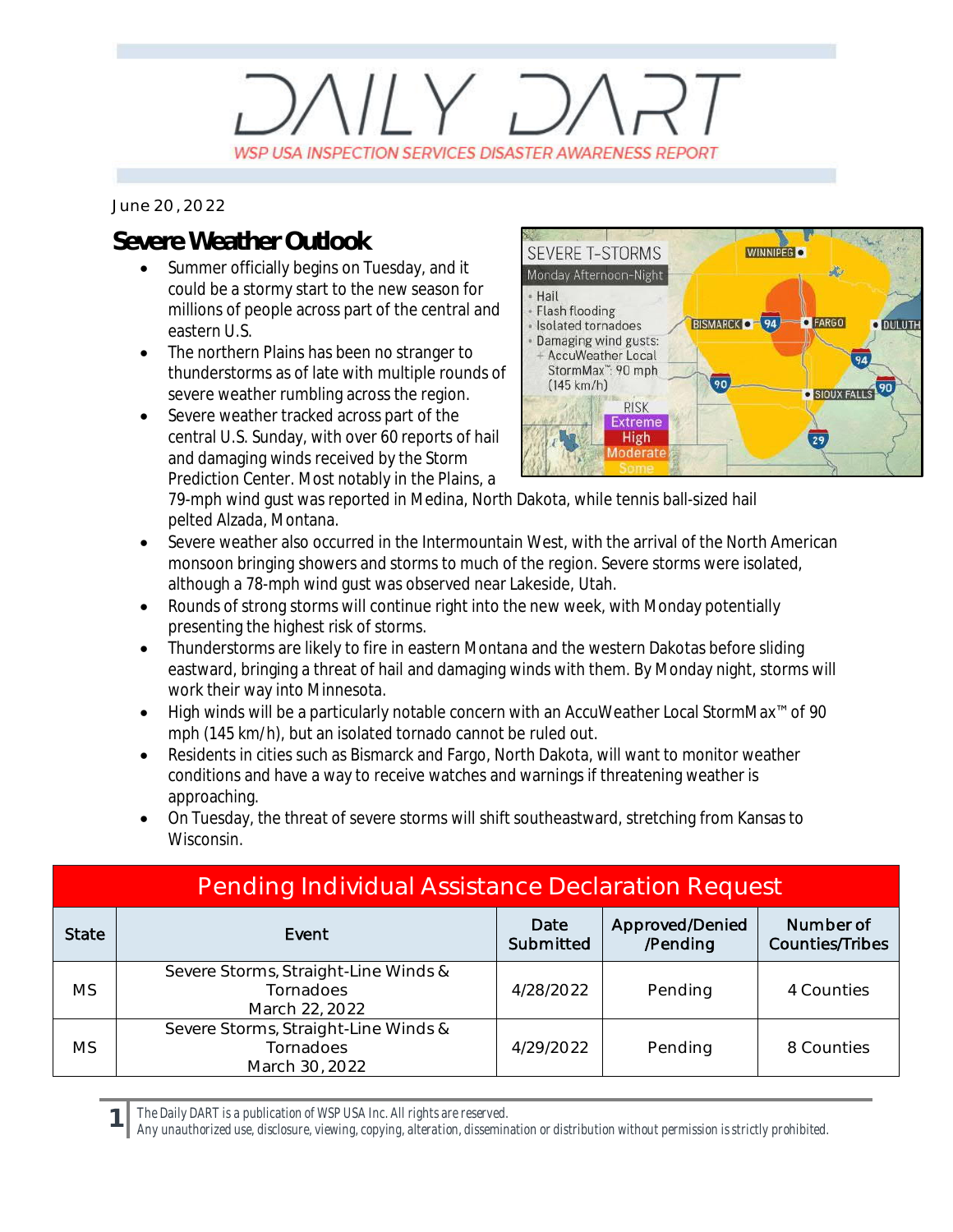## $11 \vee 7$ WSP USA INSPECTION SERVICES DISASTER AWARENESS REPORT

*June 20, 2022*

## **Severe Weather Outlook**

- Summer officially begins on Tuesday, and it could be a stormy start to the new season for millions of people across part of the central and eastern U.S.
- · The northern Plains has been no stranger to thunderstorms as of late with multiple rounds of severe weather rumbling across the region.
- · Severe weather tracked across part of the central U.S. Sunday, with over 60 reports of hail and damaging winds received by the Storm Prediction Center. Most notably in the Plains, a



79-mph wind gust was reported in Medina, North Dakota, while tennis ball-sized hail pelted Alzada, Montana.

- · Severe weather also occurred in the Intermountain West, with the arrival of the North American monsoon bringing showers and storms to much of the region. Severe storms were isolated, although a 78-mph wind gust was observed near Lakeside, Utah.
- Rounds of strong storms will continue right into the new week, with Monday potentially presenting the highest risk of storms.
- · Thunderstorms are likely to fire in eastern Montana and the western Dakotas before sliding eastward, bringing a threat of hail and damaging winds with them. By Monday night, storms will work their way into Minnesota.
- · High winds will be a particularly notable concern with an AccuWeather Local StormMax™ of 90 mph (145 km/h), but an isolated tornado cannot be ruled out.
- Residents in cities such as Bismarck and Fargo, North Dakota, will want to monitor weather conditions and have a way to receive watches and warnings if threatening weather is approaching.
- · On Tuesday, the threat of severe storms will shift southeastward, stretching from Kansas to Wisconsin.

| <b>Pending Individual Assistance Declaration Request</b> |                                                                     |                   |                             |                                     |  |  |
|----------------------------------------------------------|---------------------------------------------------------------------|-------------------|-----------------------------|-------------------------------------|--|--|
| <b>State</b>                                             | Event                                                               | Date<br>Submitted | Approved/Denied<br>/Pending | Number of<br><b>Counties/Tribes</b> |  |  |
| <b>MS</b>                                                | Severe Storms, Straight-Line Winds &<br>Tornadoes<br>March 22, 2022 | 4/28/2022         | Pending                     | 4 Counties                          |  |  |
| <b>MS</b>                                                | Severe Storms, Straight-Line Winds &<br>Tornadoes<br>March 30, 2022 | 4/29/2022         | Pending                     | 8 Counties                          |  |  |

*The Daily DART is a publication of WSP USA Inc. All rights are reserved.*

**1**

*Any unauthorized use, disclosure, viewing, copying, alteration, dissemination or distribution without permission is strictly prohibited.*